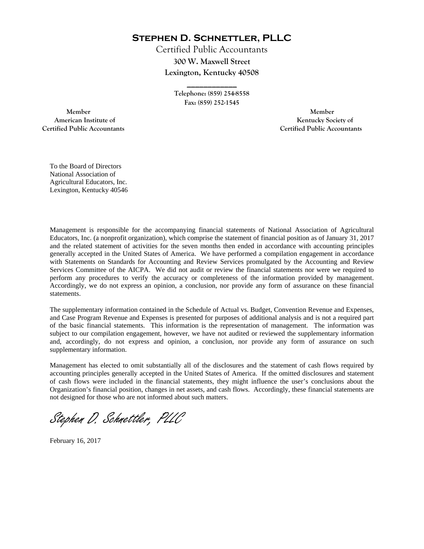**Stephen D. Schnettler, PLLC**

Certified Public Accountants **300 W. Maxwell Street Lexington, Kentucky 40508** 

> **Telephone: (859) 254-8558 Fax: (859) 252-1545**

**\_\_\_\_\_\_\_\_\_\_\_\_** 

 **Member Member Certified Public Accountants Certified Public Accountants** 

American Institute of **Kentucky Society of American Institute of** 

To the Board of Directors National Association of Agricultural Educators, Inc. Lexington, Kentucky 40546

Management is responsible for the accompanying financial statements of National Association of Agricultural Educators, Inc. (a nonprofit organization), which comprise the statement of financial position as of January 31, 2017 and the related statement of activities for the seven months then ended in accordance with accounting principles generally accepted in the United States of America. We have performed a compilation engagement in accordance with Statements on Standards for Accounting and Review Services promulgated by the Accounting and Review Services Committee of the AICPA. We did not audit or review the financial statements nor were we required to perform any procedures to verify the accuracy or completeness of the information provided by management. Accordingly, we do not express an opinion, a conclusion, nor provide any form of assurance on these financial statements.

The supplementary information contained in the Schedule of Actual vs. Budget, Convention Revenue and Expenses, and Case Program Revenue and Expenses is presented for purposes of additional analysis and is not a required part of the basic financial statements. This information is the representation of management. The information was subject to our compilation engagement, however, we have not audited or reviewed the supplementary information and, accordingly, do not express and opinion, a conclusion, nor provide any form of assurance on such supplementary information.

Management has elected to omit substantially all of the disclosures and the statement of cash flows required by accounting principles generally accepted in the United States of America. If the omitted disclosures and statement of cash flows were included in the financial statements, they might influence the user's conclusions about the Organization's financial position, changes in net assets, and cash flows. Accordingly, these financial statements are not designed for those who are not informed about such matters.

Stephen D. Schnettler, PLLC

February 16, 2017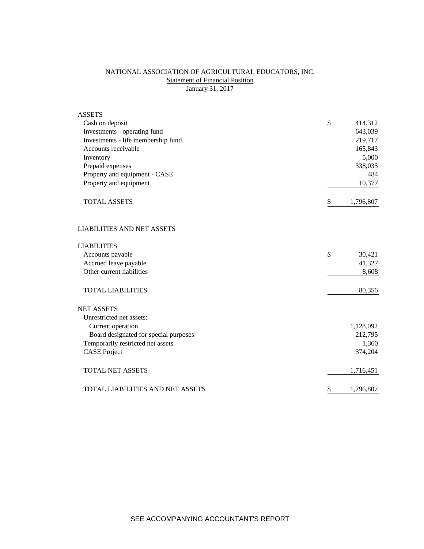# NATIONAL ASSOCIATION OF AGRICULTURAL EDUCATORS, INC. **Statement of Financial Position** January 31, 2017

| <b>ASSETS</b>                         |                 |
|---------------------------------------|-----------------|
| Cash on deposit                       | \$<br>414,312   |
| Investments - operating fund          | 643,039         |
| Investments - life membership fund    | 219,717         |
| Accounts receivable                   | 165,843         |
| Inventory                             | 5,000           |
| Prepaid expenses                      | 338,035         |
| Property and equipment - CASE         | 484             |
| Property and equipment                | 10,377          |
| <b>TOTAL ASSETS</b>                   | \$<br>1,796,807 |
| <b>LIABILITIES AND NET ASSETS</b>     |                 |
| <b>LIABILITIES</b>                    |                 |
| Accounts payable                      | \$<br>30,421    |
| Accrued leave payable                 | 41,327          |
| Other current liabilities             | 8,608           |
| <b>TOTAL LIABILITIES</b>              | 80,356          |
| <b>NET ASSETS</b>                     |                 |
| Unrestricted net assets:              |                 |
| Current operation                     | 1,128,092       |
| Board designated for special purposes | 212,795         |
| Temporarily restricted net assets     | 1,360           |
| <b>CASE Project</b>                   | 374,204         |
| <b>TOTAL NET ASSETS</b>               | 1,716,451       |
| TOTAL LIABILITIES AND NET ASSETS      | \$<br>1,796,807 |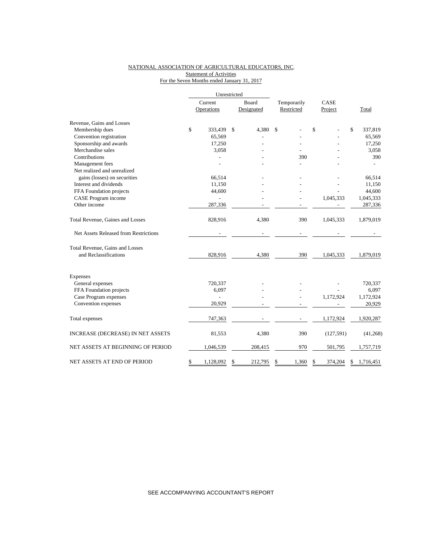### NATIONAL ASSOCIATION OF AGRICULTURAL EDUCATORS, INC. **Statement of Activities** For the Seven Months ended January 31, 2017

|                                       | Unrestricted |                |            |         |             |    |            |    |           |  |
|---------------------------------------|--------------|----------------|------------|---------|-------------|----|------------|----|-----------|--|
|                                       | Current      |                | Board      |         | Temporarily |    | CASE       |    |           |  |
|                                       |              | Operations     | Designated |         | Restricted  |    | Project    |    | Total     |  |
| Revenue, Gains and Losses             |              |                |            |         |             |    |            |    |           |  |
| Membership dues                       | \$           | 333,439        | \$         | 4,380   | \$          | \$ |            | \$ | 337,819   |  |
| Convention registration               |              | 65,569         |            |         |             |    |            |    | 65,569    |  |
| Sponsorship and awards                |              | 17,250         |            |         |             |    |            |    | 17,250    |  |
| Merchandise sales                     |              | 3,058          |            |         |             |    |            |    | 3,058     |  |
| Contributions                         |              |                |            |         | 390         |    |            |    | 390       |  |
| Management fees                       |              |                |            |         |             |    |            |    |           |  |
| Net realized and unrealized           |              |                |            |         |             |    |            |    |           |  |
| gains (losses) on securities          |              | 66,514         |            |         |             |    |            |    | 66,514    |  |
| Interest and dividends                |              | 11,150         |            |         |             |    |            |    | 11,150    |  |
| FFA Foundation projects               |              | 44,600         |            |         |             |    |            |    | 44,600    |  |
| CASE Program income                   |              |                |            |         |             |    | 1,045,333  |    | 1,045,333 |  |
| Other income                          |              | 287,336        |            |         |             |    |            |    | 287,336   |  |
| Total Revenue, Gaines and Losses      |              | 828,916        |            | 4,380   | 390         |    | 1,045,333  |    | 1,879,019 |  |
| Net Assets Released from Restrictions |              |                |            |         |             |    |            |    |           |  |
| Total Revenue, Gains and Losses       |              |                |            |         |             |    |            |    |           |  |
| and Reclassifications                 |              | 828,916        |            | 4,380   | 390         |    | 1,045,333  |    | 1,879,019 |  |
| Expenses                              |              |                |            |         |             |    |            |    |           |  |
| General expenses                      |              | 720,337        |            |         |             |    |            |    | 720,337   |  |
| FFA Foundation projects               |              | 6,097          |            |         |             |    |            |    | 6,097     |  |
| Case Program expenses                 |              | $\overline{a}$ |            |         |             |    | 1,172,924  |    | 1,172,924 |  |
| Convention expenses                   |              | 20,929         |            |         |             |    |            |    | 20,929    |  |
| Total expenses                        |              | 747,363        |            |         |             |    | 1,172,924  |    | 1,920,287 |  |
| INCREASE (DECREASE) IN NET ASSETS     |              | 81,553         |            | 4,380   | 390         |    | (127, 591) |    | (41,268)  |  |
| NET ASSETS AT BEGINNING OF PERIOD     |              | 1,046,539      |            | 208,415 | 970         |    | 501,795    |    | 1,757,719 |  |
| NET ASSETS AT END OF PERIOD           | \$           | 1,128,092      | \$         | 212,795 | \$<br>1,360 | \$ | 374,204    | \$ | 1,716,451 |  |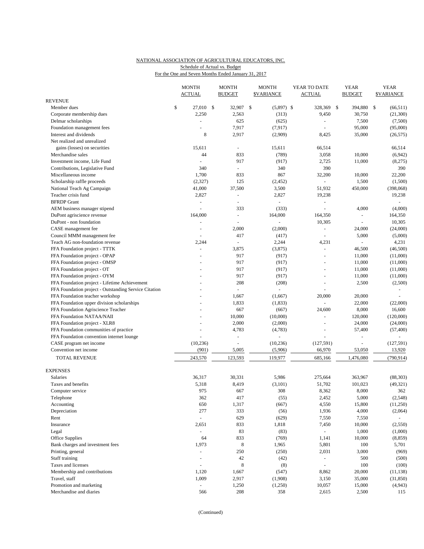### NATIONAL ASSOCIATION OF AGRICULTURAL EDUCATORS, INC. Schedule of Actual vs. Budget

For the One and Seven Months Ended January 31, 2017

|                                                       |    | <b>MONTH</b>             |  | <b>MONTH</b>             |    | <b>MONTH</b>      |  | YEAR TO DATE     |              | <b>YEAR</b>   |    | <b>YEAR</b>       |  |
|-------------------------------------------------------|----|--------------------------|--|--------------------------|----|-------------------|--|------------------|--------------|---------------|----|-------------------|--|
| <b>REVENUE</b>                                        |    | <b>ACTUAL</b>            |  | <b>BUDGET</b>            |    | <b>\$VARIANCE</b> |  | ACTUAL           |              | <b>BUDGET</b> |    | <b>\$VARIANCE</b> |  |
| Member dues                                           | \$ | 27,010 \$                |  | 32,907                   | \$ | $(5,897)$ \$      |  | 328,369          | $\mathbb{S}$ | 394,880       | \$ | (66, 511)         |  |
| Corporate membership dues                             |    | 2,250                    |  | 2,563                    |    | (313)             |  | 9,450            |              | 30,750        |    | (21,300)          |  |
| Delmar scholarships                                   |    |                          |  | 625                      |    | (625)             |  | $\sim$           |              | 7,500         |    | (7,500)           |  |
| Foundation management fees                            |    | $\sim$                   |  | 7,917                    |    | (7, 917)          |  | $\sim$           |              | 95,000        |    | (95,000)          |  |
| Interest and dividends                                |    | 8                        |  | 2,917                    |    | (2,909)           |  | 8,425            |              | 35,000        |    | (26, 575)         |  |
| Net realized and unrealized                           |    |                          |  |                          |    |                   |  |                  |              |               |    |                   |  |
| gains (losses) on securities                          |    | 15,611                   |  | $\omega$                 |    | 15,611            |  | 66,514           |              |               |    | 66,514            |  |
| Merchandise sales                                     |    | 44                       |  | 833                      |    | (789)             |  | 3,058            |              | 10,000        |    | (6,942)           |  |
| Investment income. Life Fund                          |    | ÷,                       |  | 917                      |    | (917)             |  | 2,725            |              | 11,000        |    | (8,275)           |  |
| Contributions, Legislative Fund                       |    | 340                      |  | $\sim$                   |    | 340               |  | 390              |              |               |    | 390               |  |
| Miscellaneous income                                  |    | 1,700                    |  | 833                      |    | 867               |  | 32,200           |              | 10,000        |    | 22,200            |  |
| Scholarship raffle proceeds                           |    | (2,327)                  |  | 125                      |    | (2, 452)          |  | $\mathbf{r}$     |              | 1,500         |    | (1,500)           |  |
| National Teach Ag Campaign                            |    | 41,000                   |  | 37,500                   |    | 3,500             |  | 51,932           |              | 450,000       |    | (398,068)         |  |
| Teacher crisis fund                                   |    | 2,827                    |  | $\omega$                 |    | 2,827             |  | 19,238           |              |               |    | 19,238            |  |
| <b>BFRDP</b> Grant                                    |    | $\overline{\phantom{a}}$ |  | $\overline{\phantom{a}}$ |    | $\blacksquare$    |  | $\equiv$         |              |               |    |                   |  |
| AEM business manager stipend                          |    |                          |  | 333                      |    | (333)             |  |                  |              | 4,000         |    | (4,000)           |  |
| DuPont agriscience revenue                            |    | 164,000                  |  | $\overline{\phantom{a}}$ |    | 164,000           |  | 164,350          |              | $\Box$        |    | 164,350           |  |
| DuPont - non foundation                               |    |                          |  |                          |    |                   |  | 10,305           |              |               |    | 10,305            |  |
| CASE management fee                                   |    | ÷,                       |  | 2,000                    |    | (2,000)           |  | $\blacksquare$   |              | 24,000        |    | (24,000)          |  |
| Council MMM management fee                            |    |                          |  | 417                      |    | (417)             |  | L.               |              | 5,000         |    | (5,000)           |  |
| Teach AG non-foundation revenue                       |    | 2,244                    |  |                          |    | 2,244             |  | 4,231            |              | L.            |    | 4,231             |  |
| FFA Foundation project - TTTK                         |    | L,                       |  | 3,875                    |    | (3,875)           |  | $\omega$         |              | 46,500        |    | (46,500)          |  |
| FFA Foundation project - OPAP                         |    |                          |  | 917                      |    | (917)             |  | $\sim$           |              | 11,000        |    | (11,000)          |  |
| FFA Foundation project - OMSP                         |    |                          |  | 917                      |    | (917)             |  |                  |              | 11,000        |    | (11,000)          |  |
| FFA Foundation project - OT                           |    |                          |  | 917                      |    | (917)             |  | $\sim$           |              | 11,000        |    | (11,000)          |  |
| FFA Foundation project - OYM                          |    |                          |  | 917                      |    | (917)             |  |                  |              | 11,000        |    | (11,000)          |  |
| FFA Foundation project - Lifetime Achievement         |    |                          |  | 208                      |    | (208)             |  | $\overline{a}$   |              | 2,500         |    | (2,500)           |  |
| FFA Foundation project - Outstanding Service Citation |    |                          |  |                          |    |                   |  |                  |              |               |    |                   |  |
| FFA Foundation teacher workshop                       |    |                          |  | 1,667                    |    | (1,667)           |  | 20,000           |              | 20,000        |    |                   |  |
| FFA Foundation upper division scholarships            |    |                          |  | 1,833                    |    | (1, 833)          |  |                  |              | 22,000        |    | (22,000)          |  |
| FFA Foundation Agriscience Teacher                    |    |                          |  | 667                      |    | (667)             |  | 24,600           |              | 8,000         |    | 16,600            |  |
| FFA Foundation NATAA/NAII                             |    |                          |  | 10,000                   |    | (10,000)          |  | L.               |              | 120,000       |    | (120,000)         |  |
| FFA Foundation project - XLR8                         |    |                          |  | 2,000                    |    | (2,000)           |  | ÷                |              | 24,000        |    | (24,000)          |  |
| FFA Foundation communities of practice                |    |                          |  | 4,783                    |    | (4,783)           |  |                  |              | 57,400        |    | (57, 400)         |  |
| FFA Foundation convention internet lounge             |    |                          |  |                          |    |                   |  |                  |              | L,            |    |                   |  |
| CASE program net income                               |    | (10, 236)                |  | $\overline{\phantom{a}}$ |    | (10, 236)         |  | (127, 591)       |              | L,            |    | (127, 591)        |  |
| Convention net income                                 |    | (901)                    |  | 5,005                    |    | (5,906)           |  | 66,970           |              | 53,050        |    | 13,920            |  |
|                                                       |    |                          |  |                          |    |                   |  |                  |              |               |    |                   |  |
| <b>TOTAL REVENUE</b>                                  |    | 243,570                  |  | 123,593                  |    | 119,977           |  | 685,166          |              | 1,476,080     |    | (790, 914)        |  |
| <b>EXPENSES</b>                                       |    |                          |  |                          |    |                   |  |                  |              |               |    |                   |  |
| Salaries                                              |    | 36,317                   |  | 30,331                   |    | 5,986             |  | 275,664          |              | 363,967       |    | (88, 303)         |  |
| Taxes and benefits                                    |    | 5,318                    |  | 8,419                    |    | (3, 101)          |  | 51,702           |              | 101,023       |    | (49, 321)         |  |
| Computer service                                      |    | 975                      |  | 667                      |    | 308               |  | 8,362            |              | 8,000         |    | 362               |  |
| Telephone                                             |    | 362                      |  | 417                      |    | (55)              |  | 2,452            |              | 5,000         |    | (2, 548)          |  |
| Accounting                                            |    | 650                      |  | 1,317                    |    | (667)             |  | 4,550            |              | 15,800        |    | (11,250)          |  |
| Depreciation                                          |    | 277                      |  | 333                      |    | (56)              |  | 1,936            |              | 4,000         |    | (2,064)           |  |
| Rent                                                  |    | $\Box$                   |  | 629                      |    | (629)             |  | 7,550            |              | 7,550         |    |                   |  |
| Insurance                                             |    | 2,651                    |  | 833                      |    | 1,818             |  | 7,450            |              | 10,000        |    | (2,550)           |  |
| Legal                                                 |    | $\blacksquare$           |  | 83                       |    | (83)              |  | $\omega_{\rm c}$ |              | 1,000         |    | (1,000)           |  |
| Office Supplies                                       |    | 64                       |  | 833                      |    | (769)             |  | 1,141            |              | 10,000        |    | (8, 859)          |  |
| Bank charges and investment fees                      |    | 1,973                    |  | 8                        |    | 1,965             |  | 5,801            |              | 100           |    | 5,701             |  |
| Printing, general                                     |    | $\blacksquare$           |  | 250                      |    | (250)             |  | 2,031            |              | 3,000         |    | (969)             |  |
| Staff training                                        |    | $\overline{a}$           |  | $42\,$                   |    | (42)              |  | $\sim$           |              | 500           |    | (500)             |  |
| Taxes and licenses                                    |    | ÷,                       |  | $\,$ 8 $\,$              |    | (8)               |  | $\omega$         |              | 100           |    | (100)             |  |
| Membership and contributions                          |    | 1,120                    |  | 1,667                    |    | (547)             |  | 8,862            |              | 20,000        |    | (11, 138)         |  |
| Travel, staff                                         |    | 1,009                    |  | 2,917                    |    | (1,908)           |  | 3,150            |              | 35,000        |    | (31, 850)         |  |
| Promotion and marketing                               |    | $\frac{1}{2}$            |  | 1,250                    |    | (1,250)           |  | 10,057           |              | 15,000        |    | (4, 943)          |  |
| Merchandise and diaries                               |    | 566                      |  | 208                      |    | 358               |  | 2,615            |              | 2,500         |    | 115               |  |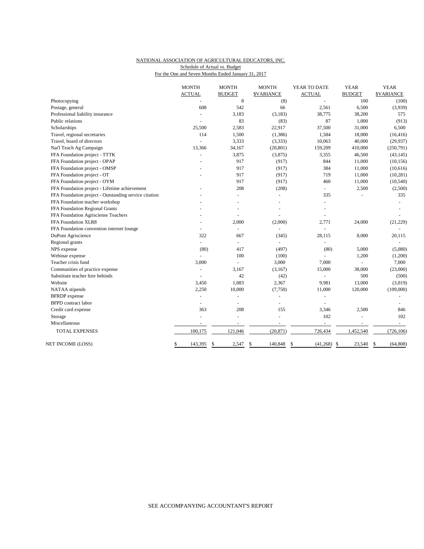## NATIONAL ASSOCIATION OF AGRICULTURAL EDUCATORS, INC. Schedule of Actual vs. Budget

For the One and Seven Months Ended January 31, 2017

|                                                       | <b>MONTH</b>   | <b>MONTH</b>             | <b>MONTH</b>      | YEAR TO DATE        | <b>YEAR</b>              | <b>YEAR</b>       |
|-------------------------------------------------------|----------------|--------------------------|-------------------|---------------------|--------------------------|-------------------|
|                                                       | <b>ACTUAL</b>  | <b>BUDGET</b>            | <b>\$VARIANCE</b> | <b>ACTUAL</b>       | <b>BUDGET</b>            | <b>\$VARIANCE</b> |
| Photocopying                                          |                | $\,8\,$                  | (8)               |                     | 100                      | (100)             |
| Postage, general                                      | 608            | 542                      | 66                | 2,561               | 6,500                    | (3,939)           |
| Professional liability insurance                      |                | 3,183                    | (3, 183)          | 38,775              | 38,200                   | 575               |
| Public relations                                      |                | 83                       | (83)              | 87                  | 1,000                    | (913)             |
| Scholarships                                          | 25,500         | 2,583                    | 22,917            | 37,500              | 31,000                   | 6,500             |
| Travel, regional secretaries                          | 114            | 1,500                    | (1, 386)          | 1,584               | 18,000                   | (16, 416)         |
| Travel, board of directors                            |                | 3,333                    | (3, 333)          | 10,063              | 40,000                   | (29, 937)         |
| Nat'l Teach Ag Campaign                               | 13,366         | 34,167                   | (20, 801)         | 159,209             | 410,000                  | (250,791)         |
| FFA Foundation project - TTTK                         | ÷,             | 3,875                    | (3,875)           | 3,355               | 46,500                   | (43, 145)         |
| FFA Foundation project - OPAP                         |                | 917                      | (917)             | 844                 | 11,000                   | (10, 156)         |
| FFA Foundation project - OMSP                         |                | 917                      | (917)             | 384                 | 11,000                   | (10,616)          |
| FFA Foundation project - OT                           |                | 917                      | (917)             | 719                 | 11,000                   | (10, 281)         |
| FFA Foundation project - OYM                          |                | 917                      | (917)             | 460                 | 11,000                   | (10, 540)         |
| FFA Foundation project - Lifetime achievement         |                | 208                      | (208)             |                     | 2,500                    | (2,500)           |
| FFA Foundation project - Outstanding service citation |                | $\overline{\phantom{a}}$ | ÷,                | 335                 |                          | 335               |
| FFA Foundation teacher workshop                       |                |                          |                   |                     |                          |                   |
| FFA Foundation Regional Grants                        |                |                          |                   |                     |                          |                   |
| FFA Foundation Agrisciense Teachers                   |                |                          | $\overline{a}$    |                     |                          |                   |
| FFA Foundation XLR8                                   |                | 2,000                    | (2,000)           | 2,771               | 24,000                   | (21, 229)         |
| FFA Foundation convention internet lounge             |                | $\blacksquare$           |                   |                     |                          |                   |
| DuPont Agriscience                                    | 322            | 667                      | (345)             | 28,115              | 8,000                    | 20,115            |
| Regional grants                                       |                | $\overline{a}$           |                   |                     |                          |                   |
| NPS expense                                           | (80)           | 417                      | (497)             | (80)                | 5,000                    | (5,080)           |
| Webinar expense                                       |                | 100                      | (100)             |                     | 1,200                    | (1,200)           |
| Teacher crisis fund                                   | 3,000          | $\overline{a}$           | 3,000             | 7.000               | $\overline{a}$           | 7,000             |
| Communities of practice expense                       |                | 3,167                    | (3,167)           | 15,000              | 38,000                   | (23,000)          |
| Substitute teacher hire behinds                       |                | 42                       | (42)              | $\bar{a}$           | 500                      | (500)             |
| Website                                               | 3,450          | 1,083                    | 2,367             | 9,981               | 13,000                   | (3,019)           |
| NATAA stipends                                        | 2,250          | 10,000                   | (7,750)           | 11,000              | 120,000                  | (109,000)         |
| <b>BFRDP</b> expense                                  | L,             | $\overline{a}$           | ÷,                |                     |                          |                   |
| <b>BFPD</b> contract labor                            | $\blacksquare$ | $\sim$                   | ÷,                |                     |                          |                   |
| Credit card expense                                   | 363            | 208                      | 155               | 3,346               | 2,500                    | 846               |
| Storage                                               |                | $\overline{a}$           |                   | 102                 |                          | 102               |
| Miscellaneous                                         |                |                          | $\sim$            | $\sim$              | $\overline{\phantom{a}}$ | $\sim$            |
| <b>TOTAL EXPENSES</b>                                 | 100,175        | 121,046                  | (20, 871)         | 726,434             | 1,452,540                | (726, 106)        |
| NET INCOME (LOSS)                                     | \$<br>143,395  | \$<br>2,547              | \$<br>140,848     | \$<br>$(41,268)$ \$ | 23,540                   | \$<br>(64, 808)   |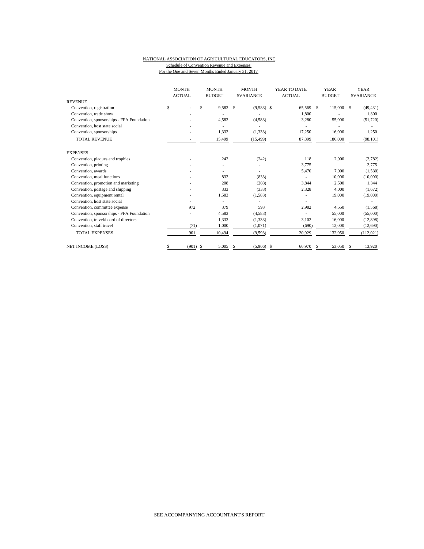#### NATIONAL ASSOCIATION OF AGRICULTURAL EDUCATORS, INC. Schedule of Convention Revenue and Expenses For the One and Seven Months Ended January 31, 2017

|                                           | <b>MONTH</b><br><b>ACTUAL</b> | <b>MONTH</b><br><b>BUDGET</b> | <b>MONTH</b><br><b>SVARIANCE</b> | YEAR TO DATE<br><b>ACTUAL</b> | <b>YEAR</b><br><b>BUDGET</b> | <b>YEAR</b><br><b>SVARIANCE</b> |  |
|-------------------------------------------|-------------------------------|-------------------------------|----------------------------------|-------------------------------|------------------------------|---------------------------------|--|
| <b>REVENUE</b>                            |                               |                               |                                  |                               |                              |                                 |  |
| Convention, registration                  | \$                            | \$<br>9,583                   | S<br>$(9,583)$ \$                | 65,569                        | -S<br>115,000                | (49, 431)<br>S                  |  |
| Convention, trade show                    |                               |                               |                                  | 1,800                         |                              | 1,800                           |  |
| Convention, sponsorships - FFA Foundation |                               | 4,583                         | (4,583)                          | 3,280                         | 55,000                       | (51, 720)                       |  |
| Convention, host state social             |                               |                               |                                  |                               |                              |                                 |  |
| Convention, sponsorships                  |                               | 1,333                         | (1, 333)                         | 17,250                        | 16,000                       | 1,250                           |  |
| <b>TOTAL REVENUE</b>                      |                               | 15,499                        | (15, 499)                        | 87,899                        | 186,000                      | (98, 101)                       |  |
| <b>EXPENSES</b>                           |                               |                               |                                  |                               |                              |                                 |  |
| Convention, plaques and trophies          |                               | 242                           | (242)                            | 118                           | 2,900                        | (2,782)                         |  |
| Convention, printing                      |                               |                               |                                  | 3,775                         |                              | 3,775                           |  |
| Convention, awards                        |                               |                               |                                  | 5,470                         | 7,000                        | (1,530)                         |  |
| Convention, meal functions                |                               | 833                           | (833)                            |                               | 10,000                       | (10,000)                        |  |
| Convention, promotion and marketing       |                               | 208                           | (208)                            | 3,844                         | 2,500                        | 1,344                           |  |
| Convention, postage and shipping          |                               | 333                           | (333)                            | 2,328                         | 4,000                        | (1,672)                         |  |
| Convention, equipment rental              |                               | 1,583                         | (1,583)                          |                               | 19,000                       | (19,000)                        |  |
| Convention, host state social             |                               |                               |                                  |                               |                              |                                 |  |
| Convention, committee expense             | 972                           | 379                           | 593                              | 2,982                         | 4,550                        | (1, 568)                        |  |
| Convention, sponsorships - FFA Foundation |                               | 4,583                         | (4,583)                          |                               | 55,000                       | (55,000)                        |  |
| Convention, travel/board of directors     |                               | 1,333                         | (1, 333)                         | 3,102                         | 16,000                       | (12,898)                        |  |
| Convention, staff travel                  | (71)                          | 1,000                         | (1,071)                          | (690)                         | 12,000                       | (12,690)                        |  |
| <b>TOTAL EXPENSES</b>                     | 901                           | 10,494                        | (9, 593)                         | 20,929                        | 132,950                      | (112, 021)                      |  |
| <b>NET INCOME (LOSS)</b>                  | (901)<br>S                    | 5,005<br>-S                   | (5,906)<br>S                     | \$<br>66,970                  | 53,050<br>\$.                | 13,920<br>S                     |  |